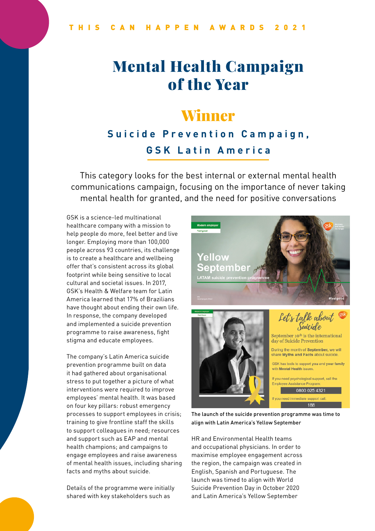# Mental Health Campaign of the Year

### Winner

#### **Suicide Prevention Campaign, GSK Latin America**

This category looks for the best internal or external mental health communications campaign, focusing on the importance of never taking mental health for granted, and the need for positive conversations

GSK is a science-led multinational healthcare company with a mission to help people do more, feel better and live longer. Employing more than 100,000 people across 93 countries, its challenge is to create a healthcare and wellbeing offer that's consistent across its global footprint while being sensitive to local cultural and societal issues. In 2017, GSK's Health & Welfare team for Latin America learned that 17% of Brazilians have thought about ending their own life. In response, the company developed and implemented a suicide prevention programme to raise awareness, fight stigma and educate employees.

The company's Latin America suicide prevention programme built on data it had gathered about organisational stress to put together a picture of what interventions were required to improve employees' mental health. It was based on four key pillars: robust emergency processes to support employees in crisis; training to give frontline staff the skills to support colleagues in need; resources and support such as EAP and mental health champions; and campaigns to engage employees and raise awareness of mental health issues, including sharing facts and myths about suicide.

Details of the programme were initially shared with key stakeholders such as







September 10<sup>th</sup> is the international day of Suicide Prevention

During the month of September, we will share Myths and Facts about suicide

GSK has tools to support you and your family with Mental Health issues

If you need psychological support, call the Employee Assistance Program 0800 025 4321

The launch of the suicide prevention programme was time to align with Latin America's Yellow September

HR and Environmental Health teams and occupational physicians. In order to maximise employee engagement across the region, the campaign was created in English, Spanish and Portuguese. The launch was timed to align with World Suicide Prevention Day in October 2020 and Latin America's Yellow September